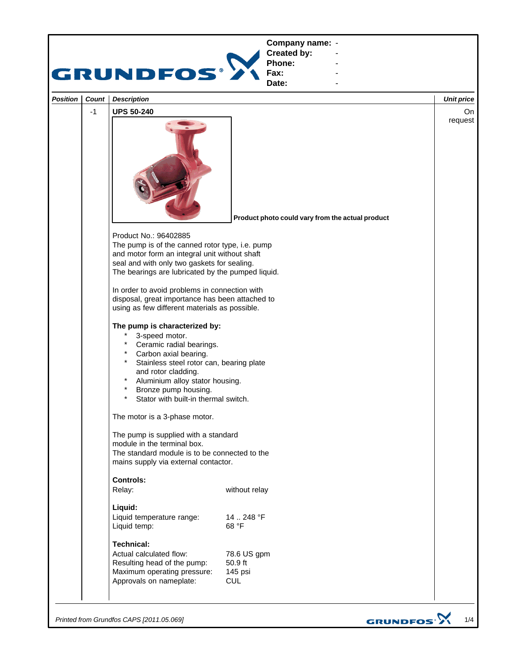

*Printed from Grundfos CAPS [2011.05.069]*

GRUNDFOS<sup>.</sup>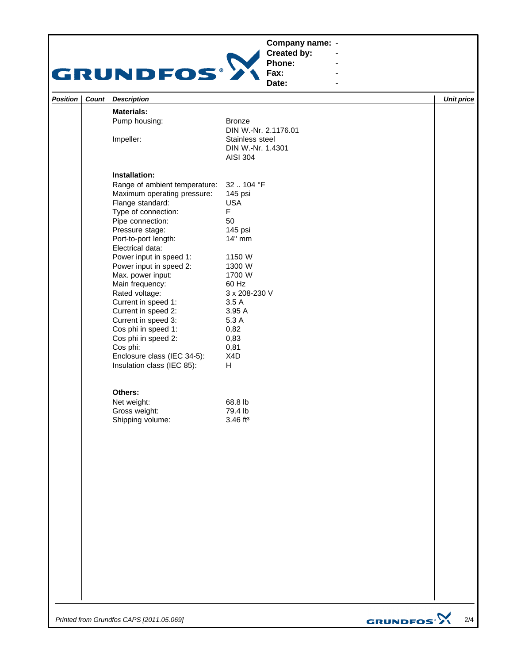## **Company name: -** Construction of the construction



**Created by: Phone:**

 $\blacktriangleleft$ 

**-** Andrew March 2014

| Position   Count | <b>Description</b>            |                        | <b>Unit price</b> |
|------------------|-------------------------------|------------------------|-------------------|
|                  | <b>Materials:</b>             |                        |                   |
|                  | Pump housing:                 | <b>Bronze</b>          |                   |
|                  |                               | DIN W.-Nr. 2.1176.01   |                   |
|                  | Impeller:                     | Stainless steel        |                   |
|                  |                               | DIN W.-Nr. 1.4301      |                   |
|                  |                               | <b>AISI 304</b>        |                   |
|                  | Installation:                 |                        |                   |
|                  | Range of ambient temperature: | 32104 °F               |                   |
|                  | Maximum operating pressure:   | 145 psi                |                   |
|                  | Flange standard:              | <b>USA</b>             |                   |
|                  | Type of connection:           | F.                     |                   |
|                  | Pipe connection:              | 50                     |                   |
|                  | Pressure stage:               | 145 psi                |                   |
|                  | Port-to-port length:          | 14" mm                 |                   |
|                  | Electrical data:              |                        |                   |
|                  | Power input in speed 1:       | 1150 W                 |                   |
|                  | Power input in speed 2:       | 1300 W                 |                   |
|                  | Max. power input:             | 1700 W                 |                   |
|                  | Main frequency:               | 60 Hz                  |                   |
|                  | Rated voltage:                | 3 x 208-230 V          |                   |
|                  | Current in speed 1:           | 3.5A                   |                   |
|                  | Current in speed 2:           | 3.95 A                 |                   |
|                  | Current in speed 3:           | 5.3 A                  |                   |
|                  | Cos phi in speed 1:           | 0,82                   |                   |
|                  | Cos phi in speed 2:           | 0,83                   |                   |
|                  | Cos phi:                      | 0,81                   |                   |
|                  | Enclosure class (IEC 34-5):   | X4D                    |                   |
|                  | Insulation class (IEC 85):    | H                      |                   |
|                  |                               |                        |                   |
|                  | Others:                       |                        |                   |
|                  | Net weight:                   | 68.8 lb                |                   |
|                  | Gross weight:                 | 79.4 lb                |                   |
|                  | Shipping volume:              | $3.46$ ft <sup>3</sup> |                   |
|                  |                               |                        |                   |
|                  |                               |                        |                   |
|                  |                               |                        |                   |
|                  |                               |                        |                   |
|                  |                               |                        |                   |
|                  |                               |                        |                   |
|                  |                               |                        |                   |
|                  |                               |                        |                   |
|                  |                               |                        |                   |
|                  |                               |                        |                   |
|                  |                               |                        |                   |
|                  |                               |                        |                   |

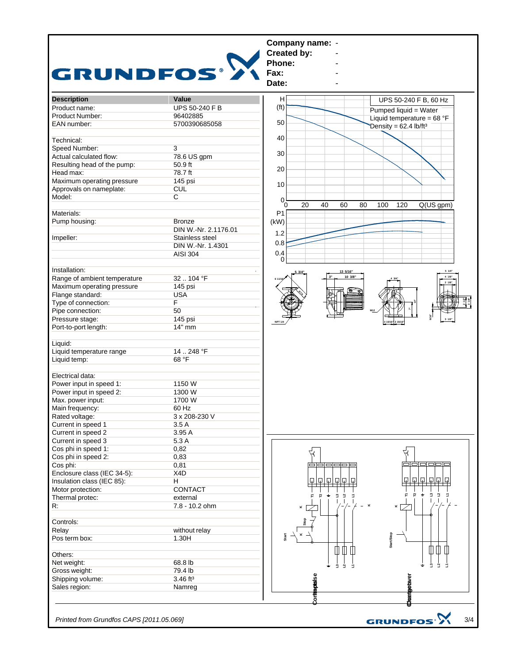